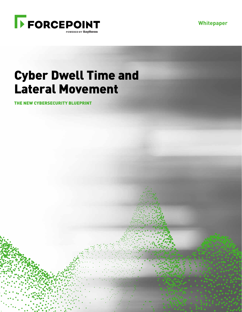**Whitepaper**



# Cyber Dwell Time and Lateral Movement

THE NEW CYBERSECURITY BLUEPRINT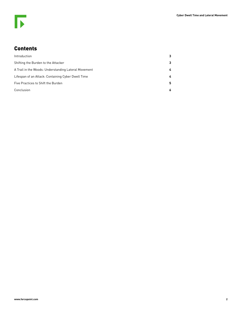## Contents

| Introduction                                         |   |
|------------------------------------------------------|---|
| Shifting the Burden to the Attacker                  | 3 |
| A Trail in the Woods: Understanding Lateral Movement | 4 |
| Lifespan of an Attack: Containing Cyber Dwell Time   | 4 |
| Five Practices to Shift the Burden                   | 5 |
| Conclusion                                           | 6 |
|                                                      |   |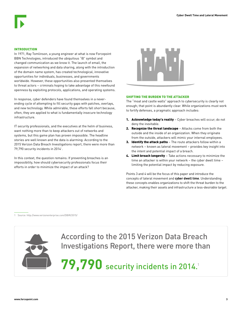### INTRODUCTION

In 1971, Ray Tomlinson, a young engineer at what is now Forcepoint BBN Technologies, introduced the ubiquitous "@" symbol and changed communication as we know it. The launch of email, the expansion of networking and data sharing, along with the introduction of the domain name system, has created technological, innovative opportunities for individuals, businesses, and governments worldwide. However, these opportunities also presented themselves to threat actors – criminals hoping to take advantage of this newfound openness by exploiting protocols, applications, and operating systems.

In response, cyber defenders have found themselves in a neverending cycle of attempting to fill security gaps with patches, overlays, and new technology. While admirable, these efforts fall short because, often, they are applied to what is fundamentally insecure technology infrastructure.

IT security professionals, and the executives at the helm of business, want nothing more than to keep attackers out of networks and systems, but this game plan has proven impossible. The headline stories are well known and the data is alarming: According to the 2015 Verizon Data Breach Investigations report, there were more than 79,790 security incidents in 2014<sup>1</sup> .

In this context, the question remains: If preventing breaches is an impossibility, how should cybersecurity professionals focus their efforts in order to minimize the impact of an attack?



#### SHIFTING THE BURDEN TO THE ATTACKER

The "moat and castle walls" approach to cybersecurity is clearly not enough; that point is abundantly clear. While organizations must work to fortify defenses, a pragmatic approach includes:

- 1. Acknowledge today's reality Cyber breaches will occur; do not deny the inevitable.
- 2. Recognize the threat landscape Attacks come from both the outside and the inside of an organization. When they originate from the outside, attackers will mimic your internal employees.
- 3. Identify the attack paths The route attackers follow within a network – known as lateral movement – provides key insight into the intent and potential impact of a breach.
- 4. Limit breach longevity Take actions necessary to minimize the time an attacker is within your network – the cyber dwell time – limiting the potential impact by reducing exposure.

Points 3 and 4 will be the focus of this paper and introduce the concepts of lateral movement and **cyber dwell time**. Understanding these concepts enables organizations to shift the threat burden to the attacker, making their assets and infrastructure a less-desirable target.

1 Source: http://www.verizonenterprise.com/DBIR/2015/



According to the 2015 Verizon Data Breach Investigations Report, there were more than

**79,790** security incidents in 2014.<sup>1</sup>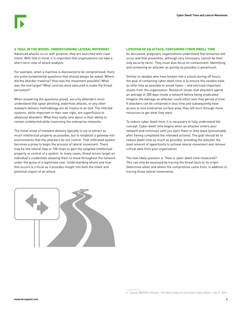#### A TRAIL IN THE WOODS: UNDERSTANDING LATERAL MOVEMENT

Advanced attacks occur with purpose; they are launched with clear intent. With that in mind, it is important that organizations not take a short-term view of attack analysis.

For example, when a machine is discovered to be compromised, there are some fundamental questions that should always be asked: Where did the attacker traverse? How was the movement possible? What was the end target? What controls were executed to make the threat persistent?

When answering the questions posed, security defenders must understand that spear phishing, waterhole attacks, or any other malware delivery methodology are all means to an end. The infected systems, while important in their own right, are superfluous to advanced attackers. What they really care about is their ability to remain undetected while traversing the enterprise networks.

The initial onset of malware delivery typically is not to extract as much intellectual property as possible, but to establish a gateway into environments that the attackers do not control. That infiltrated system becomes a proxy to begin the process of lateral movement. There may be one lateral step or 100 steps to gain the targeted intellectual property or control of a system. In many cases, threat actors target an individual's credentials allowing them to move throughout the network under the guise of a legitimate user. Understanding where and how this occurs is critical as it provides insight into both the intent and potential impact of an attack.

#### LIFESPAN OF AN ATTACK: CONTAINING CYBER DWELL TIME

As discussed, pragmatic organizations understand that breaches will occur and that prevention, although very necessary, cannot be their only security tactic. They must also focus on containment. Identifying and containing an attacker as quickly as possible is paramount.

Similar to vandals who have broken into a school during off hours, the goal of containing cyber dwell time is to ensure the vandals have as little time as possible to wreak havoc – and extricate important assets from the organization. Research shows that attackers spend an average of 200 days inside a network before being eradicated.<sup>2</sup> Imagine the damage an attacker could inflict over that period of time. If attackers can be contained in less time and subsequently have access to less enterprise surface area, they will burn through more resources to get what they want.

To reduce cyber dwell time, it is necessary to fully understand the concept. Cyber dwell time begins when an attacker enters your network and continues until you eject them or they leave (presumably after having completed the intended actions). The goal should be to reduce dwell time as much as possible, providing the attacker the least amount of opportunity to achieve lateral movement and remove critical data from your organization.

The next likely question is "How is cyber dwell time measured?" This can only be assessed by tracing the threat back to its origin. Determine when and where the compromise came from, in addition to tracing those lateral movements.



<sup>2</sup> Source: INFOSEC Institute – The Seven Steps of a Successful Cyber Attack—July 11, 2015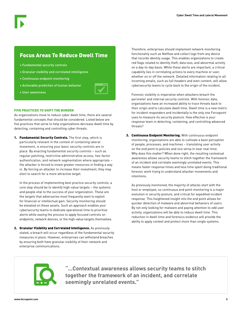# Focus Areas To Reduce Dwell Time

- Fundamental security controls
- Granular visibility and correlated intelligence
- Continuous endpoint monitoring
- Actionable prediction of human behavior
- User awareness



As organizations move to reduce cyber dwell time, there are several fundamental concepts that should be considered. Listed below are five practices that serve to help organizations decrease dwell time by detecting, containing and controlling cyber threats.

1. Fundamental Security Controls. The first step, which is particularly relevant in the context of containing lateral movement, is ensuring your basic security controls are in place. By enacting fundamental security controls – such as regular patching, restrictive administrative access, two-factor authentication, and network segmentation where appropriate – the attacker is forced to invest greater resources in finding a way in. By forcing an attacker to increase their investment, they may elect to search for a more attractive target.

In the process of implementing best practice security controls, a core step should be to identify high-value targets – the systems and people vital to the success of your organization. These are the targets that adversaries most frequently want to exploit for financial or intellectual gain. Security monitoring should be elevated on these assets. Such an approach enables your cybersecurity teams to dedicate operational time to prioritize alerts while easing the process to apply focused controls on endpoints, network devices, or the high-value targets themselves.

2. Granular Visibility and Correlated Intelligence. As previously stated, a breach will occur regardless of the fundamental security measures in place. However, enterprises can withstand breaches by ensuring both have granular visibility of their network and enterprise communications.

Therefore, enterprises should implement network monitoring functionality such as Netflow and collect logs from any device that records identity usage. This enables organizations to create red flags related to identity theft, data loss, and abnormal activity on a day-to-day basis. While these alerts are important, a critical capability lies in correlating actions to every machine or user, whether on or off the network. Detailed information relating to all incoming emails, such as full headers and even content, will allow cybersecurity teams to cycle back to the origin of the incident.

Forensic visibility is imperative when attackers breach the perimeter and internal security controls. With forensic data, organizations have an increased ability to trace threats back to their origin and to calculate dwell time. Dwell time is a new metric for incident responders and incidentally is the only one Forcepoint uses to measure its security posture. How effective is your response team in detecting, containing, and controlling advanced threats?

3. Continuous Endpoint Monitoring. With continuous endpoint monitoring, organizations are able to cultivate a keen perception of people, processes, and machines – translating user activity on the end point to policies and vice versa in near real-time. Why does this matter? When done right, the resulting contextual awareness allows security teams to stitch together the framework of an incident and correlate seemingly unrelated events. This means faster response times and less time spent doing traditional forensic work trying to understand attacker movements and intentions.

As previously mentioned, the majority of attacks start with the host or employee, so continuous end point monitoring is a major evolution in security posture, and critical for expedited incident response. This heightened insight into the end point allows for quicker detection of malware and abnormal behaviors of users. By not only looking for malware and paying attention to odd user activity, organizations will be able to reduce dwell time. This reduction in dwell time and forensics evidence will provide the ability to apply context and protect more than single systems.



**"...Contextual awareness allows security teams to stitch together the framework of an incident, and correlate seemingly unrelated events."**